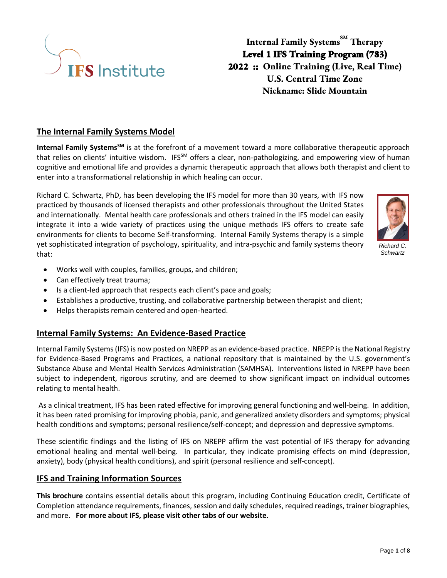

**Internal Family Systems SM Therapy Level 1 IFS Training Program (783) 2022 :: Online Training (Live, Real Time) U.S. Central Time Zone Nickname: Slide Mountain**

## **The Internal Family Systems Model**

**Internal Family SystemsSM** is at the forefront of a movement toward a more collaborative therapeutic approach that relies on clients' intuitive wisdom. IFS<sup>SM</sup> offers a clear, non-pathologizing, and empowering view of human cognitive and emotional life and provides a dynamic therapeutic approach that allows both therapist and client to enter into a transformational relationship in which healing can occur.

Richard C. Schwartz, PhD, has been developing the IFS model for more than 30 years, with IFS now practiced by thousands of licensed therapists and other professionals throughout the United States and internationally. Mental health care professionals and others trained in the IFS model can easily integrate it into a wide variety of practices using the unique methods IFS offers to create safe environments for clients to become Self-transforming. Internal Family Systems therapy is a simple yet sophisticated integration of psychology, spirituality, and intra-psychic and family systems theory that:



*Richard C. Schwartz*

- Works well with couples, families, groups, and children;
- Can effectively treat trauma;
- Is a client-led approach that respects each client's pace and goals;
- Establishes a productive, trusting, and collaborative partnership between therapist and client;
- Helps therapists remain centered and open-hearted.

## **Internal Family Systems: An Evidence-Based Practice**

Internal Family Systems (IFS) is now posted on NREPP as an evidence-based practice. NREPP is the National Registry for Evidence-Based Programs and Practices, a national repository that is maintained by the U.S. government's Substance Abuse and Mental Health Services Administration (SAMHSA). Interventions listed in NREPP have been subject to independent, rigorous scrutiny, and are deemed to show significant impact on individual outcomes relating to mental health.

As a clinical treatment, IFS has been rated effective for improving general functioning and well-being. In addition, it has been rated promising for improving phobia, panic, and generalized anxiety disorders and symptoms; physical health conditions and symptoms; personal resilience/self-concept; and depression and depressive symptoms.

These scientific findings and the listing of IFS on NREPP affirm the vast potential of IFS therapy for advancing emotional healing and mental well-being. In particular, they indicate promising effects on mind (depression, anxiety), body (physical health conditions), and spirit (personal resilience and self-concept).

## **IFS and Training Information Sources**

**This brochure** contains essential details about this program, including Continuing Education credit, Certificate of Completion attendance requirements, finances, session and daily schedules, required readings, trainer biographies, and more. **For more about IFS, please visit other tabs of our website.**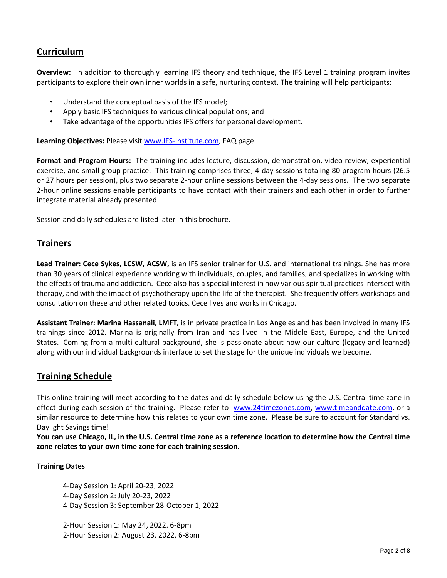# **Curriculum**

**Overview:** In addition to thoroughly learning IFS theory and technique, the IFS Level 1 training program invites participants to explore their own inner worlds in a safe, nurturing context. The training will help participants:

- Understand the conceptual basis of the IFS model;
- Apply basic IFS techniques to various clinical populations; and
- Take advantage of the opportunities IFS offers for personal development.

**Learning Objectives:** Please visit [www.IFS-Institute.com,](http://www.selfleadership.org/) FAQ page.

**Format and Program Hours:** The training includes lecture, discussion, demonstration, video review, experiential exercise, and small group practice. This training comprises three, 4-day sessions totaling 80 program hours (26.5 or 27 hours per session), plus two separate 2-hour online sessions between the 4-day sessions. The two separate 2-hour online sessions enable participants to have contact with their trainers and each other in order to further integrate material already presented.

Session and daily schedules are listed later in this brochure.

# **Trainers**

**Lead Trainer: Cece Sykes, LCSW, ACSW,** is an IFS senior trainer for U.S. and international trainings. She has more than 30 years of clinical experience working with individuals, couples, and families, and specializes in working with the effects of trauma and addiction. Cece also has a special interest in how various spiritual practices intersect with therapy, and with the impact of psychotherapy upon the life of the therapist. She frequently offers workshops and consultation on these and other related topics. Cece lives and works in Chicago.

**Assistant Trainer: Marina Hassanali, LMFT,** is in private practice in Los Angeles and has been involved in many IFS trainings since 2012. Marina is originally from Iran and has lived in the Middle East, Europe, and the United States. Coming from a multi-cultural background, she is passionate about how our culture (legacy and learned) along with our individual backgrounds interface to set the stage for the unique individuals we become.

# **Training Schedule**

This online training will meet according to the dates and daily schedule below using the U.S. Central time zone in effect during each session of the training. Please refer to [www.24timezones.com,](http://www.24timezones.com/) [www.timeanddate.com,](http://www.timeanddate.com/) or a similar resource to determine how this relates to your own time zone. Please be sure to account for Standard vs. Daylight Savings time!

**You can use Chicago, IL, in the U.S. Central time zone as a reference location to determine how the Central time zone relates to your own time zone for each training session.**

#### **Training Dates**

4-Day Session 1: April 20-23, 2022 4-Day Session 2: July 20-23, 2022 4-Day Session 3: September 28-October 1, 2022

2-Hour Session 1: May 24, 2022. 6-8pm 2-Hour Session 2: August 23, 2022, 6-8pm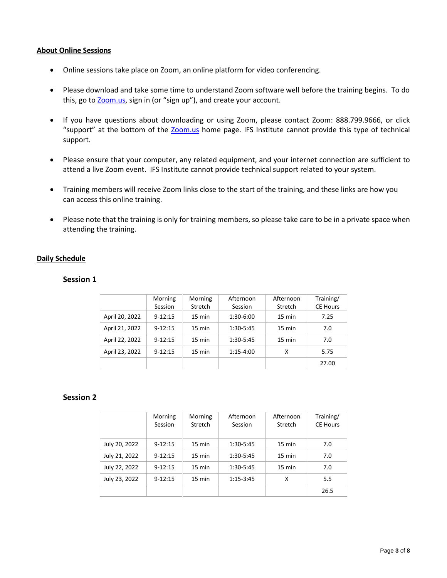#### **About Online Sessions**

- Online sessions take place on Zoom, an online platform for video conferencing.
- Please download and take some time to understand Zoom software well before the training begins. To do this, go to **Zoom.us**, sign in (or "sign up"), and create your account.
- If you have questions about downloading or using Zoom, please contact Zoom: 888.799.9666, or click "support" at the bottom of the [Zoom.us](https://zoom.us/) home page. IFS Institute cannot provide this type of technical support.
- Please ensure that your computer, any related equipment, and your internet connection are sufficient to attend a live Zoom event. IFS Institute cannot provide technical support related to your system.
- Training members will receive Zoom links close to the start of the training, and these links are how you can access this online training.
- Please note that the training is only for training members, so please take care to be in a private space when attending the training.

#### **Daily Schedule**

#### **Session 1**

|                | Morning     | Morning          | Afternoon   | Afternoon        | Training/       |
|----------------|-------------|------------------|-------------|------------------|-----------------|
|                | Session     | Stretch          | Session     | Stretch          | <b>CE Hours</b> |
| April 20, 2022 | $9 - 12:15$ | $15 \text{ min}$ | 1:30-6:00   | $15 \text{ min}$ | 7.25            |
| April 21, 2022 | $9 - 12:15$ | $15 \text{ min}$ | 1:30-5:45   | 15 min           | 7.0             |
| April 22, 2022 | $9 - 12:15$ | $15 \text{ min}$ | 1:30-5:45   | $15 \text{ min}$ | 7.0             |
| April 23, 2022 | $9 - 12:15$ | 15 min           | $1:15-4:00$ | x                | 5.75            |
|                |             |                  |             |                  | 27.00           |

### **Session 2**

|               | Morning<br>Session | Morning<br>Stretch | Afternoon<br>Session | Afternoon<br>Stretch | Training/<br><b>CE Hours</b> |
|---------------|--------------------|--------------------|----------------------|----------------------|------------------------------|
|               |                    |                    |                      |                      |                              |
| July 20, 2022 | $9 - 12:15$        | $15 \text{ min}$   | 1:30-5:45            | $15 \text{ min}$     | 7.0                          |
| July 21, 2022 | $9 - 12:15$        | $15 \text{ min}$   | 1:30-5:45            | $15 \text{ min}$     | 7.0                          |
| July 22, 2022 | $9 - 12:15$        | $15 \text{ min}$   | 1:30-5:45            | $15 \text{ min}$     | 7.0                          |
| July 23, 2022 | $9 - 12:15$        | $15 \text{ min}$   | $1:15-3:45$          | X                    | 5.5                          |
|               |                    |                    |                      |                      | 26.5                         |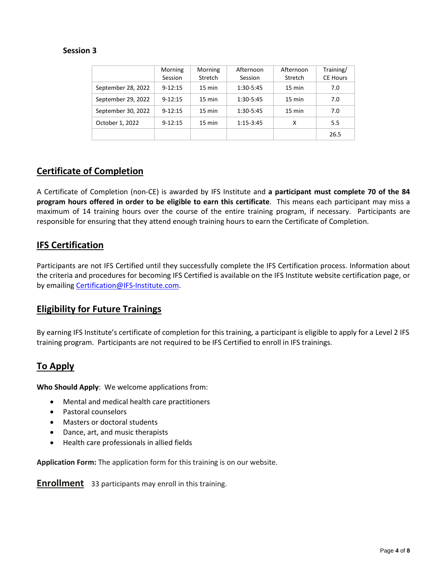## **Session 3**

|                    | Morning<br>Session | Morning<br>Stretch | Afternoon<br>Session | Afternoon<br>Stretch | Training/<br><b>CE Hours</b> |
|--------------------|--------------------|--------------------|----------------------|----------------------|------------------------------|
| September 28, 2022 | $9 - 12:15$        | $15 \text{ min}$   | 1:30-5:45            | $15 \text{ min}$     | 7.0                          |
| September 29, 2022 | $9 - 12:15$        | $15 \text{ min}$   | 1:30-5:45            | $15 \text{ min}$     | 7.0                          |
| September 30, 2022 | $9 - 12:15$        | $15 \text{ min}$   | 1:30-5:45            | $15 \text{ min}$     | 7.0                          |
| October 1, 2022    | $9 - 12:15$        | $15 \text{ min}$   | $1:15-3:45$          | χ                    | 5.5                          |
|                    |                    |                    |                      |                      | 26.5                         |

# **Certificate of Completion**

A Certificate of Completion (non-CE) is awarded by IFS Institute and **a participant must complete 70 of the 84 program hours offered in order to be eligible to earn this certificate**. This means each participant may miss a maximum of 14 training hours over the course of the entire training program, if necessary. Participants are responsible for ensuring that they attend enough training hours to earn the Certificate of Completion.

## **IFS Certification**

Participants are not IFS Certified until they successfully complete the IFS Certification process. Information about the criteria and procedures for becoming IFS Certified is available on the IFS Institute website certification page, or by emailing [Certification@IFS-Institute.com.](mailto:Certification@IFS-Institute.com)

## **Eligibility for Future Trainings**

By earning IFS Institute's certificate of completion for this training, a participant is eligible to apply for a Level 2 IFS training program. Participants are not required to be IFS Certified to enroll in IFS trainings.

# **To Apply**

**Who Should Apply**: We welcome applications from:

- Mental and medical health care practitioners
- Pastoral counselors
- Masters or doctoral students
- Dance, art, and music therapists
- Health care professionals in allied fields

**Application Form:** The application form for this training is on our website.

**Enrollment** 33 participants may enroll in this training.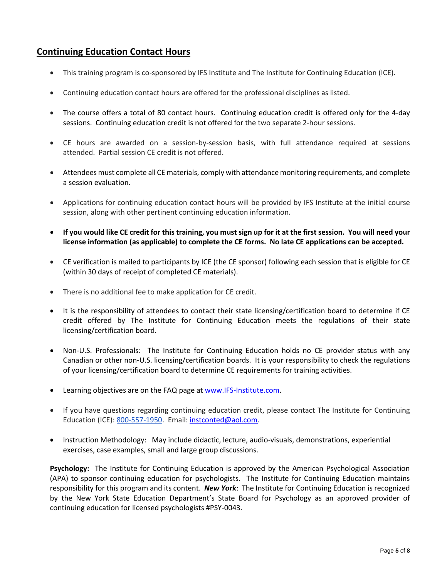# **Continuing Education Contact Hours**

- This training program is co-sponsored by IFS Institute and The Institute for Continuing Education (ICE).
- Continuing education contact hours are offered for the professional disciplines as listed.
- The course offers a total of 80 contact hours. Continuing education credit is offered only for the 4-day sessions. Continuing education credit is not offered for the two separate 2-hour sessions.
- CE hours are awarded on a session-by-session basis, with full attendance required at sessions attended. Partial session CE credit is not offered.
- Attendees must complete all CE materials, comply with attendance monitoring requirements, and complete a session evaluation.
- Applications for continuing education contact hours will be provided by IFS Institute at the initial course session, along with other pertinent continuing education information.
- **If you would like CE credit for this training, you must sign up for it at the first session. You will need your license information (as applicable) to complete the CE forms. No late CE applications can be accepted.**
- CE verification is mailed to participants by ICE (the CE sponsor) following each session that is eligible for CE (within 30 days of receipt of completed CE materials).
- There is no additional fee to make application for CE credit.
- It is the responsibility of attendees to contact their state licensing/certification board to determine if CE credit offered by The Institute for Continuing Education meets the regulations of their state licensing/certification board.
- Non-U.S. Professionals: The Institute for Continuing Education holds no CE provider status with any Canadian or other non-U.S. licensing/certification boards. It is your responsibility to check the regulations of your licensing/certification board to determine CE requirements for training activities.
- Learning objectives are on the FAQ page a[t www.IFS-Institute.com.](http://www.selfleadership.org/)
- If you have questions regarding continuing education credit, please contact The Institute for Continuing Education (ICE): 800-557-1950. Email: [instconted@aol.com.](mailto:instconted@aol.com)
- Instruction Methodology: May include didactic, lecture, audio-visuals, demonstrations, experiential exercises, case examples, small and large group discussions.

**Psychology:** The Institute for Continuing Education is approved by the American Psychological Association (APA) to sponsor continuing education for psychologists. The Institute for Continuing Education maintains responsibility for this program and its content. *New York*: The Institute for Continuing Education is recognized by the New York State Education Department's State Board for Psychology as an approved provider of continuing education for licensed psychologists #PSY-0043.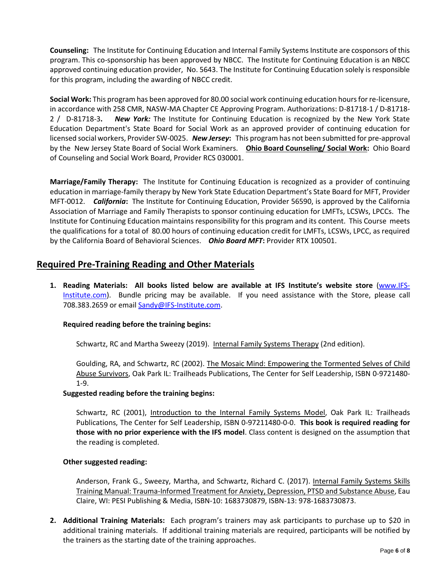**Counseling:** The Institute for Continuing Education and Internal Family Systems Institute are cosponsors of this program. This co-sponsorship has been approved by NBCC. The Institute for Continuing Education is an NBCC approved continuing education provider, No. 5643. The Institute for Continuing Education solely is responsible for this program, including the awarding of NBCC credit.

**Social Work:** This program has been approved for 80.00 social work continuing education hours for re-licensure, in accordance with 258 CMR, NASW-MA Chapter CE Approving Program. Authorizations: D-81718-1 / D-81718- 2 / D-81718-3**.** *New York:* The Institute for Continuing Education is recognized by the New York State Education Department's State Board for Social Work as an approved provider of continuing education for licensed social workers, Provider SW-0025. *New Jersey***:** This program has not been submitted for pre-approval by the New Jersey State Board of Social Work Examiners. **Ohio Board Counseling/ Social Work:** Ohio Board of Counseling and Social Work Board, Provider RCS 030001.

**Marriage/Family Therapy:** The Institute for Continuing Education is recognized as a provider of continuing education in marriage-family therapy by New York State Education Department's State Board for MFT, Provider MFT-0012. *California***:** The Institute for Continuing Education, Provider 56590, is approved by the California Association of Marriage and Family Therapists to sponsor continuing education for LMFTs, LCSWs, LPCCs. The Institute for Continuing Education maintains responsibility for this program and its content. This Course meets the qualifications for a total of 80.00 hours of continuing education credit for LMFTs, LCSWs, LPCC, as required by the California Board of Behavioral Sciences. *Ohio Board MFT***:** Provider RTX 100501.

# **Required Pre-Training Reading and Other Materials**

**1. Reading Materials: All books listed below are available at IFS Institute's website store** [\(www.IFS-](http://www.selfleadership.org/)[Institute.com\)](http://www.selfleadership.org/). Bundle pricing may be available. If you need assistance with the Store, please call 708.383.2659 or email Sandy@IFS-Institute.com.

## **Required reading before the training begins:**

Schwartz, RC and Martha Sweezy (2019). Internal Family Systems Therapy (2nd edition).

Goulding, RA, and Schwartz, RC (2002). The Mosaic Mind: Empowering the Tormented Selves of Child Abuse Survivors, Oak Park IL: Trailheads Publications, The Center for Self Leadership, ISBN 0-9721480- 1-9.

#### **Suggested reading before the training begins:**

Schwartz, RC (2001), Introduction to the Internal Family Systems Model, Oak Park IL: Trailheads Publications, The Center for Self Leadership, ISBN 0-97211480-0-0. **This book is required reading for those with no prior experience with the IFS model**. Class content is designed on the assumption that the reading is completed.

#### **Other suggested reading:**

Anderson, Frank G., Sweezy, Martha, and Schwartz, Richard C. (2017). Internal Family Systems Skills Training Manual: Trauma-Informed Treatment for Anxiety, Depression, PTSD and Substance Abuse, Eau Claire, WI: PESI Publishing & Media, ISBN-10: 1683730879, ISBN-13: 978-1683730873.

**2. Additional Training Materials:** Each program's trainers may ask participants to purchase up to \$20 in additional training materials. If additional training materials are required, participants will be notified by the trainers as the starting date of the training approaches.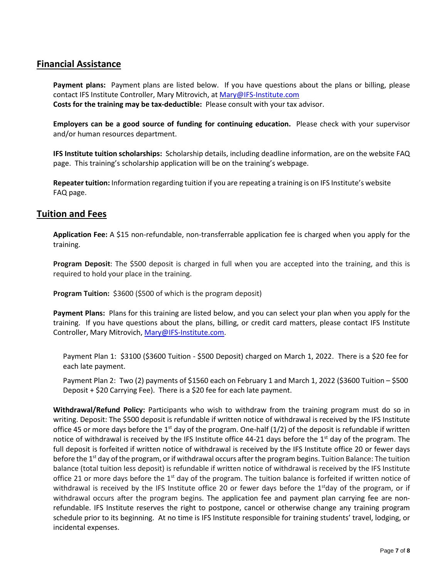## **Financial Assistance**

**Payment plans:** Payment plans are listed below. If you have questions about the plans or billing, please contact IFS Institute Controller, Mary Mitrovich, at [Mary@IFS-Institute.com](mailto:Mary@IFS-Institute.com) **Costs for the training may be tax-deductible:** Please consult with your tax advisor.

**Employers can be a good source of funding for continuing education.** Please check with your supervisor and/or human resources department.

**IFS Institute tuition scholarships:** Scholarship details, including deadline information, are on the website FAQ page. This training's scholarship application will be on the training's webpage.

**Repeater tuition:** Information regarding tuition if you are repeating a training is on IFS Institute's website FAQ page.

## **Tuition and Fees**

**Application Fee:** A \$15 non-refundable, non-transferrable application fee is charged when you apply for the training.

**Program Deposit**: The \$500 deposit is charged in full when you are accepted into the training, and this is required to hold your place in the training.

**Program Tuition: \$3600 (\$500 of which is the program deposit)** 

**Payment Plans:** Plans for this training are listed below, and you can select your plan when you apply for the training. If you have questions about the plans, billing, or credit card matters, please contact IFS Institute Controller, Mary Mitrovich[, Mary@IFS-Institute.com.](mailto:Mary@IFS-Institute.com)

Payment Plan 1: \$3100 (\$3600 Tuition - \$500 Deposit) charged on March 1, 2022. There is a \$20 fee for each late payment.

Payment Plan 2: Two (2) payments of \$1560 each on February 1 and March 1, 2022 (\$3600 Tuition – \$500 Deposit + \$20 Carrying Fee). There is a \$20 fee for each late payment.

**Withdrawal/Refund Policy:** Participants who wish to withdraw from the training program must do so in writing. Deposit: The \$500 deposit is refundable if written notice of withdrawal is received by the IFS Institute office 45 or more days before the  $1<sup>st</sup>$  day of the program. One-half (1/2) of the deposit is refundable if written notice of withdrawal is received by the IFS Institute office 44-21 days before the 1<sup>st</sup> day of the program. The full deposit is forfeited if written notice of withdrawal is received by the IFS Institute office 20 or fewer days before the 1<sup>st</sup> day of the program, or if withdrawal occurs after the program begins. Tuition Balance: The tuition balance (total tuition less deposit) is refundable if written notice of withdrawal is received by the IFS Institute office 21 or more days before the 1<sup>st</sup> day of the program. The tuition balance is forfeited if written notice of withdrawal is received by the IFS Institute office 20 or fewer days before the 1<sup>st</sup>day of the program, or if withdrawal occurs after the program begins. The application fee and payment plan carrying fee are nonrefundable. IFS Institute reserves the right to postpone, cancel or otherwise change any training program schedule prior to its beginning. At no time is IFS Institute responsible for training students' travel, lodging, or incidental expenses.